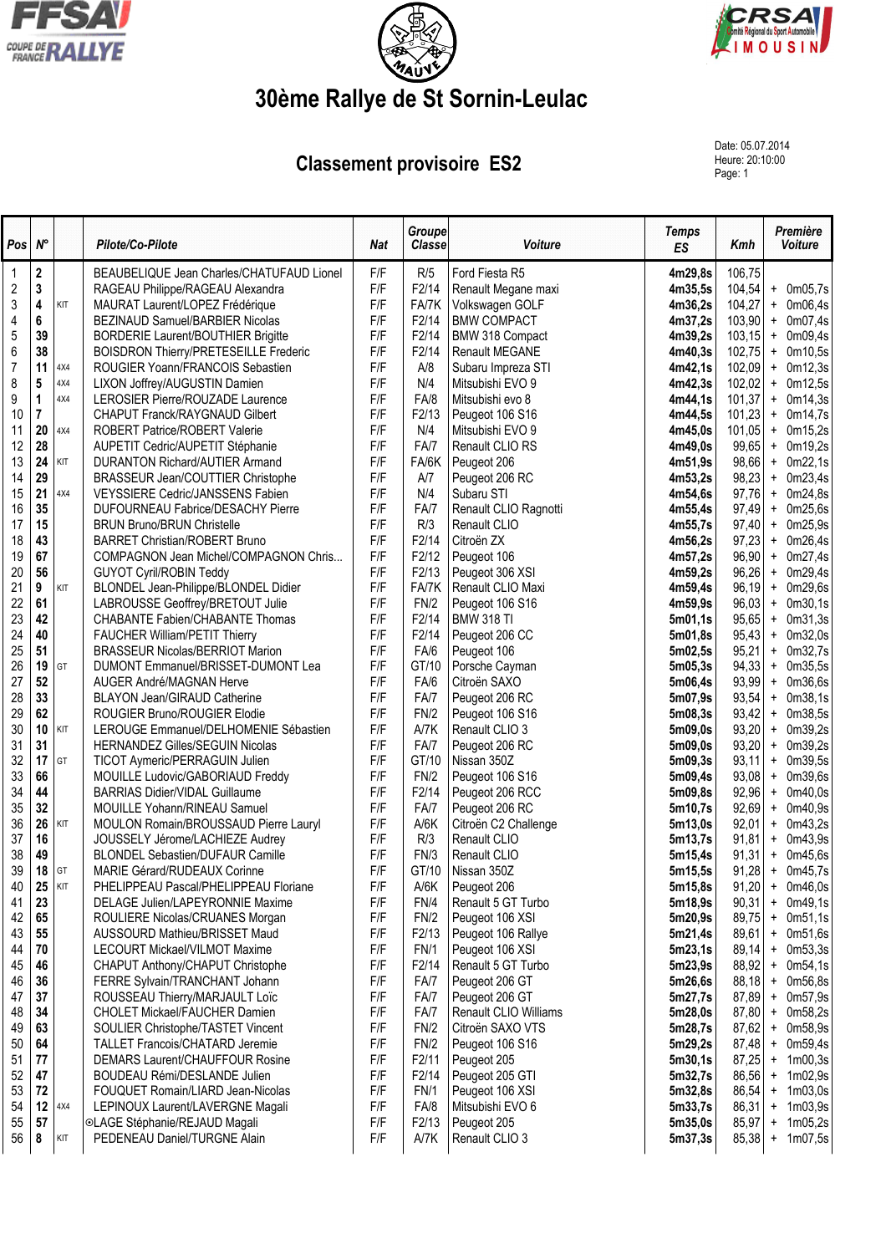





## **30ème Rallye de St Sornin-Leulac**

## **Classement provisoire ES2**

Date: 05.07.2014 Heure: 20:10:00<br>Page: 1

| Pos              | $N^{\circ}$             |     | Pilote/Co-Pilote                                                            | <b>Nat</b> | <b>Groupe</b><br><b>Classe</b> | Voiture                             | <b>Temps</b><br>ES | Kmh              | Première<br>Voiture                          |
|------------------|-------------------------|-----|-----------------------------------------------------------------------------|------------|--------------------------------|-------------------------------------|--------------------|------------------|----------------------------------------------|
| 1                | $\bf 2$                 |     | BEAUBELIQUE Jean Charles/CHATUFAUD Lionel                                   | F/F        | R/5                            | Ford Fiesta R5                      | 4m29,8s            | 106,75           |                                              |
| $\overline{c}$   | $\mathbf 3$             |     | RAGEAU Philippe/RAGEAU Alexandra                                            | F/F        | F2/14                          | Renault Megane maxi                 | 4m35,5s            | 104,54           | + 0m05,7s                                    |
| 3                | $\overline{\mathbf{4}}$ | KIT | MAURAT Laurent/LOPEZ Frédérique                                             | F/F        | FA/7K                          | Volkswagen GOLF                     | 4m36,2s            | 104.27           | $+$<br>0m06,4s                               |
| 4                | 6                       |     | BEZINAUD Samuel/BARBIER Nicolas                                             | F/F        | F2/14                          | <b>BMW COMPACT</b>                  | 4m37,2s            |                  | $103,90$ + 0m07,4s                           |
| 5                | 39                      |     | <b>BORDERIE Laurent/BOUTHIER Brigitte</b>                                   | F/F        | F2/14                          | BMW 318 Compact                     | 4m39,2s            | 103,15           | $+$ 0m09,4s                                  |
| 6                | 38                      |     | <b>BOISDRON Thierry/PRETESEILLE Frederic</b>                                | F/F        | F2/14                          | <b>Renault MEGANE</b>               | 4m40,3s            | 102,75           | $+$ 0m10,5s                                  |
| $\boldsymbol{7}$ | 11                      | 4X4 | ROUGIER Yoann/FRANCOIS Sebastien                                            | F/F        | A/8                            | Subaru Impreza STI                  | 4m42,1s            | 102,09           | $+$ 0m12,3s                                  |
| 8                | 5<br>$\mathbf{1}$       | 4X4 | LIXON Joffrey/AUGUSTIN Damien                                               | F/F        | N/4                            | Mitsubishi EVO 9                    | 4m42,3s            | 102,02           | $+$ 0m12,5s                                  |
| 9                | $\overline{7}$          | 4X4 | LEROSIER Pierre/ROUZADE Laurence                                            | F/F<br>F/F | FA/8                           | Mitsubishi evo 8                    | 4m44,1s            | 101,37<br>101,23 | $+$ 0m14,3s                                  |
| 10<br>11         | 20                      | 4X4 | CHAPUT Franck/RAYGNAUD Gilbert<br><b>ROBERT Patrice/ROBERT Valerie</b>      | F/F        | F2/13<br>N/4                   | Peugeot 106 S16<br>Mitsubishi EVO 9 | 4m44,5s<br>4m45.0s | 101,05           | 0m14,7s<br>$+$<br>0m15,2s<br>$+$             |
| 12               | 28                      |     | AUPETIT Cedric/AUPETIT Stéphanie                                            | F/F        | FA/7                           | Renault CLIO RS                     | 4m49,0s            | 99,65            | 0m19,2s<br>$\pm$                             |
| 13               | 24                      | KIT | <b>DURANTON Richard/AUTIER Armand</b>                                       | F/F        | FA/6K                          | Peugeot 206                         | 4m51,9s            | 98,66            | 0m22,1s<br>$+$                               |
| 14               | 29                      |     | BRASSEUR Jean/COUTTIER Christophe                                           | F/F        | A/7                            | Peugeot 206 RC                      | 4m53,2s            | 98,23            | 0m23,4s<br>$+$                               |
| 15               | 21                      | 4X4 | VEYSSIERE Cedric/JANSSENS Fabien                                            | F/F        | N/4                            | Subaru STI                          | 4m54,6s            | 97,76            | 0m24,8s<br>$+$                               |
| 16               | 35                      |     | <b>DUFOURNEAU Fabrice/DESACHY Pierre</b>                                    | F/F        | FA/7                           | Renault CLIO Ragnotti               | 4m55,4s            | 97,49            | + 0m25,6s                                    |
| 17               | 15                      |     | <b>BRUN Bruno/BRUN Christelle</b>                                           | F/F        | R/3                            | Renault CLIO                        | 4m55,7s            | 97,40            | $+$ 0m25,9s                                  |
| 18               | 43                      |     | <b>BARRET Christian/ROBERT Bruno</b>                                        | F/F        | F2/14                          | Citroën ZX                          | 4m56,2s            | 97,23            | 0m26,4s<br>$+$                               |
| 19               | 67                      |     | COMPAGNON Jean Michel/COMPAGNON Chris                                       | F/F        | F2/12                          | Peugeot 106                         | 4m57,2s            | 96,90            | $+$ 0m27,4s                                  |
| 20               | 56                      |     | <b>GUYOT Cyril/ROBIN Teddy</b>                                              | F/F        | F2/13                          | Peugeot 306 XSI                     | 4m59,2s            | 96,26            | $+$ 0m29,4s                                  |
| 21               | 9                       | KIT | BLONDEL Jean-Philippe/BLONDEL Didier                                        | F/F        | FA/7K                          | Renault CLIO Maxi                   | 4m59,4s            | 96,19            | + 0m29,6s                                    |
| 22               | 61                      |     | LABROUSSE Geoffrey/BRETOUT Julie                                            | F/F        | FN/2                           | Peugeot 106 S16                     | 4m59,9s            | 96,03            | 0m30,1s<br>$+$                               |
| 23               | 42                      |     | CHABANTE Fabien/CHABANTE Thomas                                             | F/F        | F2/14                          | <b>BMW 318 TI</b>                   | 5m01,1s            | 95,65            | 0m31,3s<br>$\ddot{}$                         |
| 24               | 40                      |     | <b>FAUCHER William/PETIT Thierry</b>                                        | F/F        | F2/14                          | Peugeot 206 CC                      | 5m01,8s            | 95,43            | 0m32,0s<br>$+$                               |
| 25               | 51                      |     | <b>BRASSEUR Nicolas/BERRIOT Marion</b>                                      | F/F        | FA/6                           | Peugeot 106                         | 5m02,5s            | 95,21            | 0m32,7s<br>$\ddot{}$                         |
| 26               | 19                      | GT  | DUMONT Emmanuel/BRISSET-DUMONT Lea                                          | F/F        | GT/10                          | Porsche Cayman                      | 5m05,3s            | 94,33            | 0m35,5s<br>$\ddot{}$                         |
| 27               | 52                      |     | AUGER André/MAGNAN Herve                                                    | F/F        | FA/6                           | Citroën SAXO                        | 5m06,4s            | 93,99            | 0m36,6s<br>$\pmb{+}$                         |
| 28<br>29         | 33                      |     | <b>BLAYON Jean/GIRAUD Catherine</b>                                         | F/F<br>F/F | FA/7                           | Peugeot 206 RC                      | 5m07,9s            | 93,54            | 0m38,1s<br>$+$                               |
| 30               | 62<br>10                | KIT | ROUGIER Bruno/ROUGIER Elodie<br>LEROUGE Emmanuel/DELHOMENIE Sébastien       | F/F        | FN/2<br>A/7K                   | Peugeot 106 S16<br>Renault CLIO 3   | 5m08,3s<br>5m09,0s | 93,42<br>93,20   | 0m38,5s<br>$\ddot{}$<br>0m39,2s<br>$\ddot{}$ |
| 31               | 31                      |     | HERNANDEZ Gilles/SEGUIN Nicolas                                             | F/F        | FA/7                           | Peugeot 206 RC                      | 5m09,0s            | 93,20            | 0m39,2s<br>$\ddot{}$                         |
| 32               | 17                      | GT  | TICOT Aymeric/PERRAGUIN Julien                                              | F/F        | GT/10                          | Nissan 350Z                         | 5m09,3s            | 93,11            | 0m39,5s<br>$+$                               |
| 33               | 66                      |     | MOUILLE Ludovic/GABORIAUD Freddy                                            | F/F        | FN/2                           | Peugeot 106 S16                     | 5m09,4s            | 93,08            | 0m39,6s<br>$\ddot{}$                         |
| 34               | 44                      |     | <b>BARRIAS Didier/VIDAL Guillaume</b>                                       | F/F        | F2/14                          | Peugeot 206 RCC                     | 5m09,8s            | 92,96            | 0m40,0s<br>$\ddot{}$                         |
| 35               | 32                      |     | MOUILLE Yohann/RINEAU Samuel                                                | F/F        | FA/7                           | Peugeot 206 RC                      | 5m10,7s            | 92,69            | 0m40,9s<br>$\pmb{+}$                         |
| 36               | 26                      | KIT | MOULON Romain/BROUSSAUD Pierre Lauryl                                       | F/F        | A/6K                           | Citroën C2 Challenge                | 5m13,0s            | 92,01            | 0m43,2s<br>$\ddot{}$                         |
| 37               | 16                      |     | JOUSSELY Jérome/LACHIEZE Audrey                                             | F/F        | R/3                            | Renault CLIO                        | 5m13,7s            | 91,81            | 0m43,9s<br>$+$                               |
| 38               | 49                      |     | <b>BLONDEL Sebastien/DUFAUR Camille</b>                                     | F/F        | FN/3                           | Renault CLIO                        | 5m15,4s            | 91,31            | $+$ 0m45,6s                                  |
| 39               | 18                      | GT  | MARIE Gérard/RUDEAUX Corinne                                                | F/F        | GT/10                          | Nissan 350Z                         | 5m15,5s            | 91,28            | $+$ 0m45,7s                                  |
| 40               | 25                      | KIT | PHELIPPEAU Pascal/PHELIPPEAU Floriane                                       | F/F        | A/6K                           | Peugeot 206                         | 5m15,8s            |                  | $91,20$ + 0m46,0s                            |
| 41               | 23                      |     | DELAGE Julien/LAPEYRONNIE Maxime                                            | F/F        | FN/4                           | Renault 5 GT Turbo                  | 5m18,9s            | 90,31            | $+$ 0m49,1s                                  |
| 42               | 65                      |     | ROULIERE Nicolas/CRUANES Morgan                                             | F/F        | FN/2                           | Peugeot 106 XSI                     | 5m20,9s            | 89,75            | $+$ 0m51,1s                                  |
| 43               | 55                      |     | AUSSOURD Mathieu/BRISSET Maud                                               | F/F        | F2/13                          | Peugeot 106 Rallye                  | 5m21,4s            | 89,61            | $+$ 0m51,6s                                  |
| 44               | 70                      |     | <b>LECOURT Mickael/VILMOT Maxime</b>                                        | F/F        | <b>FN/1</b>                    | Peugeot 106 XSI                     | 5m23,1s            | 89,14            | $+$ 0m53,3s                                  |
| 45               | 46                      |     | CHAPUT Anthony/CHAPUT Christophe                                            | F/F        | F2/14                          | Renault 5 GT Turbo                  | 5m23,9s            | 88,92            | $+$ 0m54,1s                                  |
| 46               | 36                      |     | FERRE Sylvain/TRANCHANT Johann                                              | F/F        | FA/7                           | Peugeot 206 GT                      | 5m26,6s            | 88,18            | $+$<br>0m56,8s                               |
| 47               | 37                      |     | ROUSSEAU Thierry/MARJAULT Loïc                                              | F/F        | FA/7                           | Peugeot 206 GT                      | 5m27,7s            | 87,89            | 0m57,9s<br>$\pm$                             |
| 48<br>49         | 34<br>63                |     | CHOLET Mickael/FAUCHER Damien                                               | F/F<br>F/F | FA/7                           | Renault CLIO Williams               | 5m28,0s<br>5m28,7s | 87,80<br>87,62   | $\ddot{}$<br>0m58,2s                         |
| 50               | 64                      |     | SOULIER Christophe/TASTET Vincent<br><b>TALLET Francois/CHATARD Jeremie</b> | F/F        | FN/2<br>FN/2                   | Citroën SAXO VTS<br>Peugeot 106 S16 | 5m29,2s            | 87,48            | + 0m58,9s<br>+ 0m59,4s                       |
| 51               | 77                      |     | DEMARS Laurent/CHAUFFOUR Rosine                                             | F/F        | F <sub>2</sub> /11             | Peugeot 205                         | 5m30,1s            | 87,25            | $+ 1m00,3s$                                  |
| 52               | 47                      |     | BOUDEAU Rémi/DESLANDE Julien                                                | F/F        | F2/14                          | Peugeot 205 GTI                     | 5m32,7s            | 86,56            | $+ 1m02,9s$                                  |
| 53               | 72                      |     | FOUQUET Romain/LIARD Jean-Nicolas                                           | F/F        | FN/1                           | Peugeot 106 XSI                     | 5m32,8s            | 86,54            | $+ 1m03,0s$                                  |
| 54               | 12                      | 4X4 | LEPINOUX Laurent/LAVERGNE Magali                                            | F/F        | FA/8                           | Mitsubishi EVO 6                    | 5m33,7s            | 86,31            | $+ 1m03,9s$                                  |
| 55               | 57                      |     | ©LAGE Stéphanie/REJAUD Magali                                               | F/F        | F2/13                          | Peugeot 205                         | 5m35,0s            | 85,97            | 1m05,2s<br>$\pmb{+}$                         |
| 56               | 8                       | KIT | PEDENEAU Daniel/TURGNE Alain                                                | F/F        | A/7K                           | Renault CLIO 3                      | 5m37,3s            | 85,38            | 1m07,5s<br>$\pmb{+}$                         |
|                  |                         |     |                                                                             |            |                                |                                     |                    |                  |                                              |